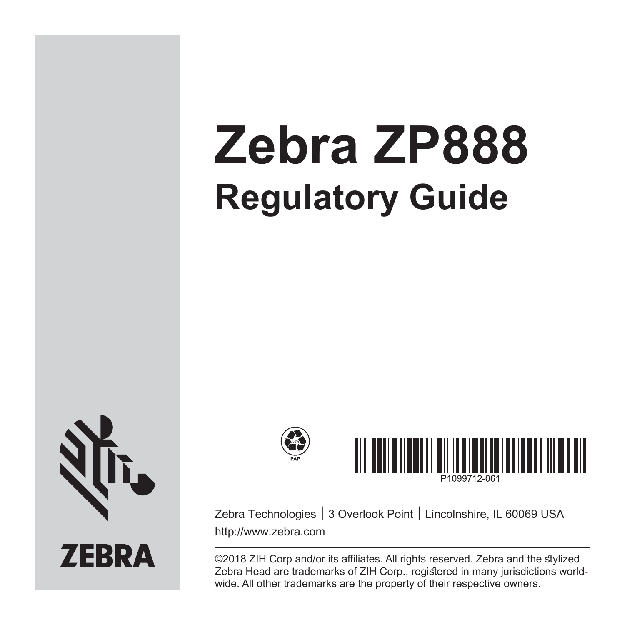# **Zebra ZP888 Regulatory Guide**



## **ZEBRA**



Zebra Technologies │ 3 Overlook Point │ Lincolnshire, IL 60069 USA http://www.zebra.com

©2018 ZIH Corp and/or its affiliates. All rights reserved. Zebra and the stvlized Zebra Head are trademarks of ZIH Corp., registered in many jurisdictions worldwide. All other trademarks are the property of their respective owners.